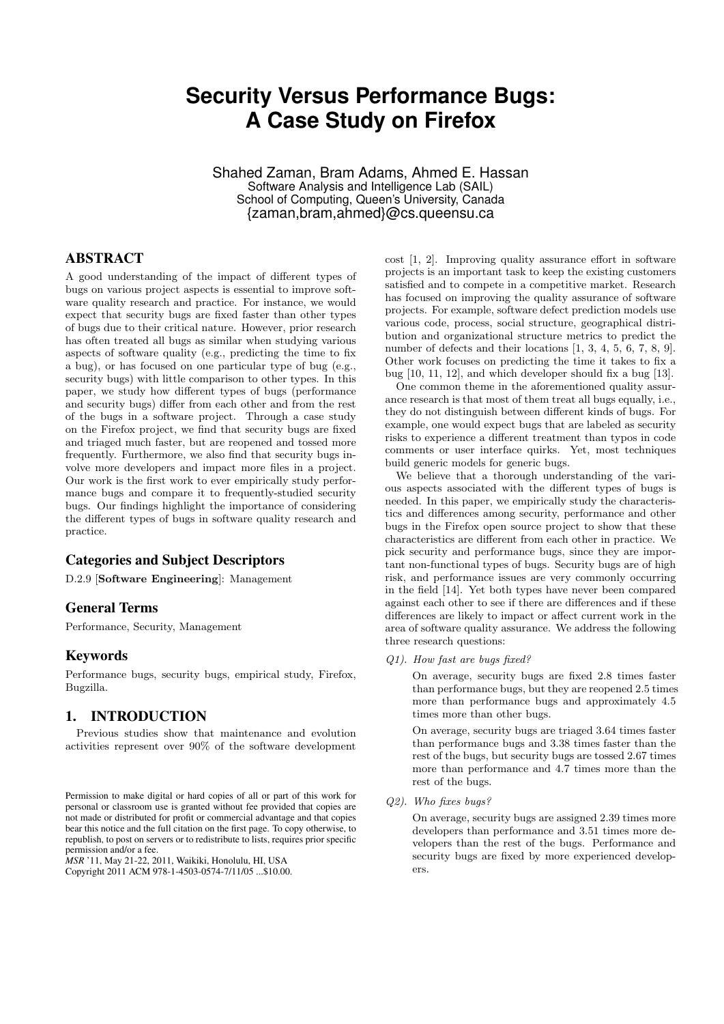# **Security Versus Performance Bugs: A Case Study on Firefox**

Shahed Zaman, Bram Adams, Ahmed E. Hassan Software Analysis and Intelligence Lab (SAIL) School of Computing, Queen's University, Canada {zaman,bram,ahmed}@cs.queensu.ca

## ABSTRACT

A good understanding of the impact of different types of bugs on various project aspects is essential to improve software quality research and practice. For instance, we would expect that security bugs are fixed faster than other types of bugs due to their critical nature. However, prior research has often treated all bugs as similar when studying various aspects of software quality (e.g., predicting the time to fix a bug), or has focused on one particular type of bug (e.g., security bugs) with little comparison to other types. In this paper, we study how different types of bugs (performance and security bugs) differ from each other and from the rest of the bugs in a software project. Through a case study on the Firefox project, we find that security bugs are fixed and triaged much faster, but are reopened and tossed more frequently. Furthermore, we also find that security bugs involve more developers and impact more files in a project. Our work is the first work to ever empirically study performance bugs and compare it to frequently-studied security bugs. Our findings highlight the importance of considering the different types of bugs in software quality research and practice.

## Categories and Subject Descriptors

D.2.9 [Software Engineering]: Management

# General Terms

Performance, Security, Management

## Keywords

Performance bugs, security bugs, empirical study, Firefox, Bugzilla.

# 1. INTRODUCTION

Previous studies show that maintenance and evolution activities represent over 90% of the software development

*MSR* '11, May 21-22, 2011, Waikiki, Honolulu, HI, USA

Copyright 2011 ACM 978-1-4503-0574-7/11/05 ...\$10.00.

cost [1, 2]. Improving quality assurance effort in software projects is an important task to keep the existing customers satisfied and to compete in a competitive market. Research has focused on improving the quality assurance of software projects. For example, software defect prediction models use various code, process, social structure, geographical distribution and organizational structure metrics to predict the number of defects and their locations  $[1, 3, 4, 5, 6, 7, 8, 9]$ . Other work focuses on predicting the time it takes to fix a bug [10, 11, 12], and which developer should fix a bug [13].

One common theme in the aforementioned quality assurance research is that most of them treat all bugs equally, i.e., they do not distinguish between different kinds of bugs. For example, one would expect bugs that are labeled as security risks to experience a different treatment than typos in code comments or user interface quirks. Yet, most techniques build generic models for generic bugs.

We believe that a thorough understanding of the various aspects associated with the different types of bugs is needed. In this paper, we empirically study the characteristics and differences among security, performance and other bugs in the Firefox open source project to show that these characteristics are different from each other in practice. We pick security and performance bugs, since they are important non-functional types of bugs. Security bugs are of high risk, and performance issues are very commonly occurring in the field [14]. Yet both types have never been compared against each other to see if there are differences and if these differences are likely to impact or affect current work in the area of software quality assurance. We address the following three research questions:

Q1). How fast are bugs fixed?

On average, security bugs are fixed 2.8 times faster than performance bugs, but they are reopened 2.5 times more than performance bugs and approximately 4.5 times more than other bugs.

On average, security bugs are triaged 3.64 times faster than performance bugs and 3.38 times faster than the rest of the bugs, but security bugs are tossed 2.67 times more than performance and 4.7 times more than the rest of the bugs.

Q2). Who fixes bugs?

On average, security bugs are assigned 2.39 times more developers than performance and 3.51 times more developers than the rest of the bugs. Performance and security bugs are fixed by more experienced developers.

Permission to make digital or hard copies of all or part of this work for personal or classroom use is granted without fee provided that copies are not made or distributed for profit or commercial advantage and that copies bear this notice and the full citation on the first page. To copy otherwise, to republish, to post on servers or to redistribute to lists, requires prior specific permission and/or a fee.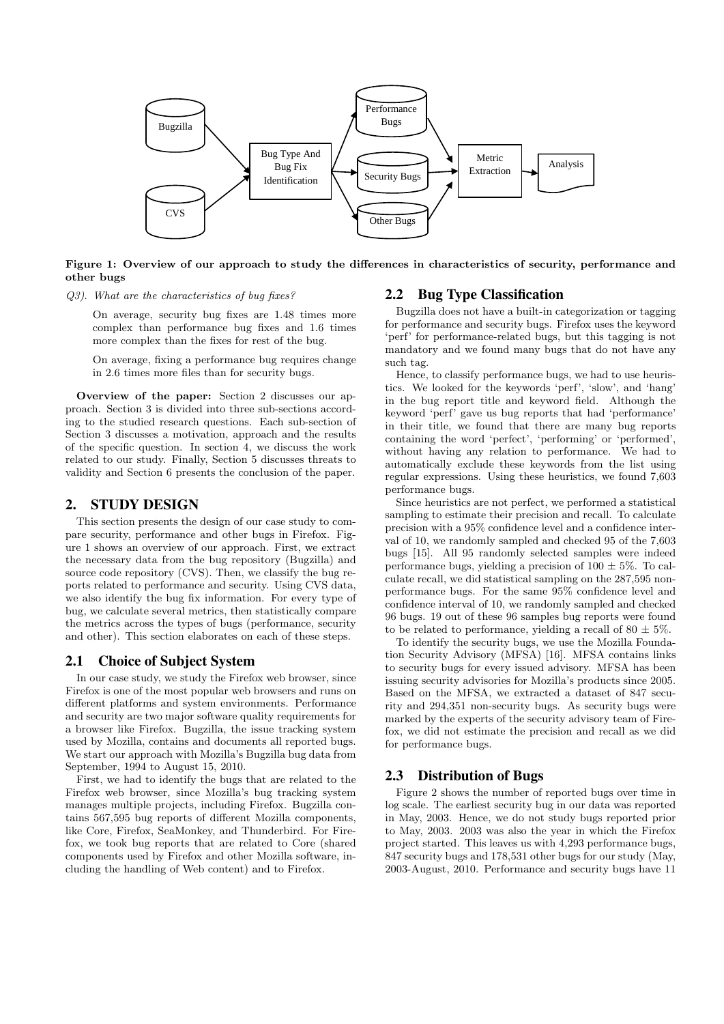

Figure 1: Overview of our approach to study the differences in characteristics of security, performance and other bugs

Q3). What are the characteristics of bug fixes?

On average, security bug fixes are 1.48 times more complex than performance bug fixes and 1.6 times more complex than the fixes for rest of the bug.

On average, fixing a performance bug requires change in 2.6 times more files than for security bugs.

Overview of the paper: Section 2 discusses our approach. Section 3 is divided into three sub-sections according to the studied research questions. Each sub-section of Section 3 discusses a motivation, approach and the results of the specific question. In section 4, we discuss the work related to our study. Finally, Section 5 discusses threats to validity and Section 6 presents the conclusion of the paper.

#### 2. STUDY DESIGN

This section presents the design of our case study to compare security, performance and other bugs in Firefox. Figure 1 shows an overview of our approach. First, we extract the necessary data from the bug repository (Bugzilla) and source code repository (CVS). Then, we classify the bug reports related to performance and security. Using CVS data, we also identify the bug fix information. For every type of bug, we calculate several metrics, then statistically compare the metrics across the types of bugs (performance, security and other). This section elaborates on each of these steps.

#### 2.1 Choice of Subject System

In our case study, we study the Firefox web browser, since Firefox is one of the most popular web browsers and runs on different platforms and system environments. Performance and security are two major software quality requirements for a browser like Firefox. Bugzilla, the issue tracking system used by Mozilla, contains and documents all reported bugs. We start our approach with Mozilla's Bugzilla bug data from September, 1994 to August 15, 2010.

First, we had to identify the bugs that are related to the Firefox web browser, since Mozilla's bug tracking system manages multiple projects, including Firefox. Bugzilla contains 567,595 bug reports of different Mozilla components, like Core, Firefox, SeaMonkey, and Thunderbird. For Firefox, we took bug reports that are related to Core (shared components used by Firefox and other Mozilla software, including the handling of Web content) and to Firefox.

#### 2.2 Bug Type Classification

Bugzilla does not have a built-in categorization or tagging for performance and security bugs. Firefox uses the keyword 'perf' for performance-related bugs, but this tagging is not mandatory and we found many bugs that do not have any such tag.

Hence, to classify performance bugs, we had to use heuristics. We looked for the keywords 'perf', 'slow', and 'hang' in the bug report title and keyword field. Although the keyword 'perf' gave us bug reports that had 'performance' in their title, we found that there are many bug reports containing the word 'perfect', 'performing' or 'performed', without having any relation to performance. We had to automatically exclude these keywords from the list using regular expressions. Using these heuristics, we found 7,603 performance bugs.

Since heuristics are not perfect, we performed a statistical sampling to estimate their precision and recall. To calculate precision with a 95% confidence level and a confidence interval of 10, we randomly sampled and checked 95 of the 7,603 bugs [15]. All 95 randomly selected samples were indeed performance bugs, yielding a precision of  $100 \pm 5\%$ . To calculate recall, we did statistical sampling on the 287,595 nonperformance bugs. For the same 95% confidence level and confidence interval of 10, we randomly sampled and checked 96 bugs. 19 out of these 96 samples bug reports were found to be related to performance, yielding a recall of  $80 \pm 5\%$ .

To identify the security bugs, we use the Mozilla Foundation Security Advisory (MFSA) [16]. MFSA contains links to security bugs for every issued advisory. MFSA has been issuing security advisories for Mozilla's products since 2005. Based on the MFSA, we extracted a dataset of 847 security and 294,351 non-security bugs. As security bugs were marked by the experts of the security advisory team of Firefox, we did not estimate the precision and recall as we did for performance bugs.

#### 2.3 Distribution of Bugs

Figure 2 shows the number of reported bugs over time in log scale. The earliest security bug in our data was reported in May, 2003. Hence, we do not study bugs reported prior to May, 2003. 2003 was also the year in which the Firefox project started. This leaves us with 4,293 performance bugs, 847 security bugs and 178,531 other bugs for our study (May, 2003-August, 2010. Performance and security bugs have 11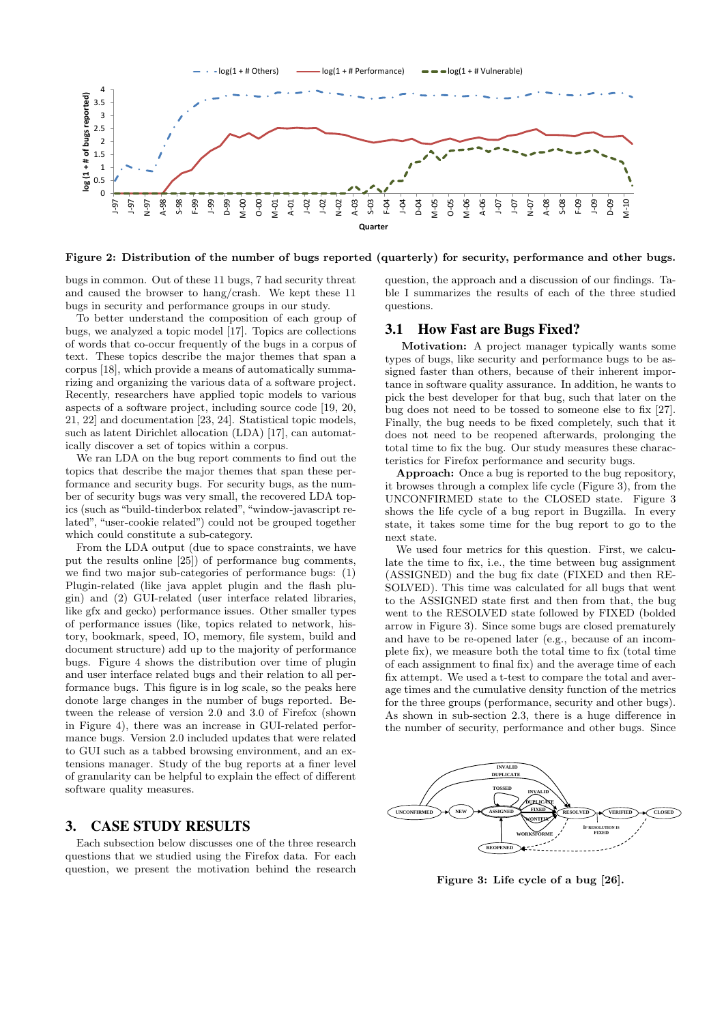

Figure 2: Distribution of the number of bugs reported (quarterly) for security, performance and other bugs.

bugs in common. Out of these 11 bugs, 7 had security threat and caused the browser to hang/crash. We kept these 11 bugs in security and performance groups in our study.

To better understand the composition of each group of bugs, we analyzed a topic model [17]. Topics are collections of words that co-occur frequently of the bugs in a corpus of text. These topics describe the major themes that span a corpus [18], which provide a means of automatically summarizing and organizing the various data of a software project. Recently, researchers have applied topic models to various aspects of a software project, including source code [19, 20, 21, 22] and documentation [23, 24]. Statistical topic models, such as latent Dirichlet allocation (LDA) [17], can automatically discover a set of topics within a corpus.

We ran LDA on the bug report comments to find out the topics that describe the major themes that span these performance and security bugs. For security bugs, as the number of security bugs was very small, the recovered LDA topics (such as "build-tinderbox related", "window-javascript related", "user-cookie related") could not be grouped together which could constitute a sub-category.

From the LDA output (due to space constraints, we have put the results online [25]) of performance bug comments, we find two major sub-categories of performance bugs: (1) Plugin-related (like java applet plugin and the flash plugin) and (2) GUI-related (user interface related libraries, like gfx and gecko) performance issues. Other smaller types of performance issues (like, topics related to network, history, bookmark, speed, IO, memory, file system, build and document structure) add up to the majority of performance bugs. Figure 4 shows the distribution over time of plugin and user interface related bugs and their relation to all performance bugs. This figure is in log scale, so the peaks here donote large changes in the number of bugs reported. Between the release of version 2.0 and 3.0 of Firefox (shown in Figure 4), there was an increase in GUI-related performance bugs. Version 2.0 included updates that were related to GUI such as a tabbed browsing environment, and an extensions manager. Study of the bug reports at a finer level of granularity can be helpful to explain the effect of different software quality measures.

#### 3. CASE STUDY RESULTS

Each subsection below discusses one of the three research questions that we studied using the Firefox data. For each question, we present the motivation behind the research

question, the approach and a discussion of our findings. Table I summarizes the results of each of the three studied questions.

#### 3.1 How Fast are Bugs Fixed?

Motivation: A project manager typically wants some types of bugs, like security and performance bugs to be assigned faster than others, because of their inherent importance in software quality assurance. In addition, he wants to pick the best developer for that bug, such that later on the bug does not need to be tossed to someone else to fix [27]. Finally, the bug needs to be fixed completely, such that it does not need to be reopened afterwards, prolonging the total time to fix the bug. Our study measures these characteristics for Firefox performance and security bugs.

Approach: Once a bug is reported to the bug repository, it browses through a complex life cycle (Figure 3), from the UNCONFIRMED state to the CLOSED state. Figure 3 shows the life cycle of a bug report in Bugzilla. In every state, it takes some time for the bug report to go to the next state.

We used four metrics for this question. First, we calculate the time to fix, i.e., the time between bug assignment (ASSIGNED) and the bug fix date (FIXED and then RE-SOLVED). This time was calculated for all bugs that went to the ASSIGNED state first and then from that, the bug went to the RESOLVED state followed by FIXED (bolded arrow in Figure 3). Since some bugs are closed prematurely and have to be re-opened later (e.g., because of an incomplete fix), we measure both the total time to fix (total time of each assignment to final fix) and the average time of each fix attempt. We used a t-test to compare the total and average times and the cumulative density function of the metrics for the three groups (performance, security and other bugs). As shown in sub-section 2.3, there is a huge difference in the number of security, performance and other bugs. Since



Figure 3: Life cycle of a bug [26].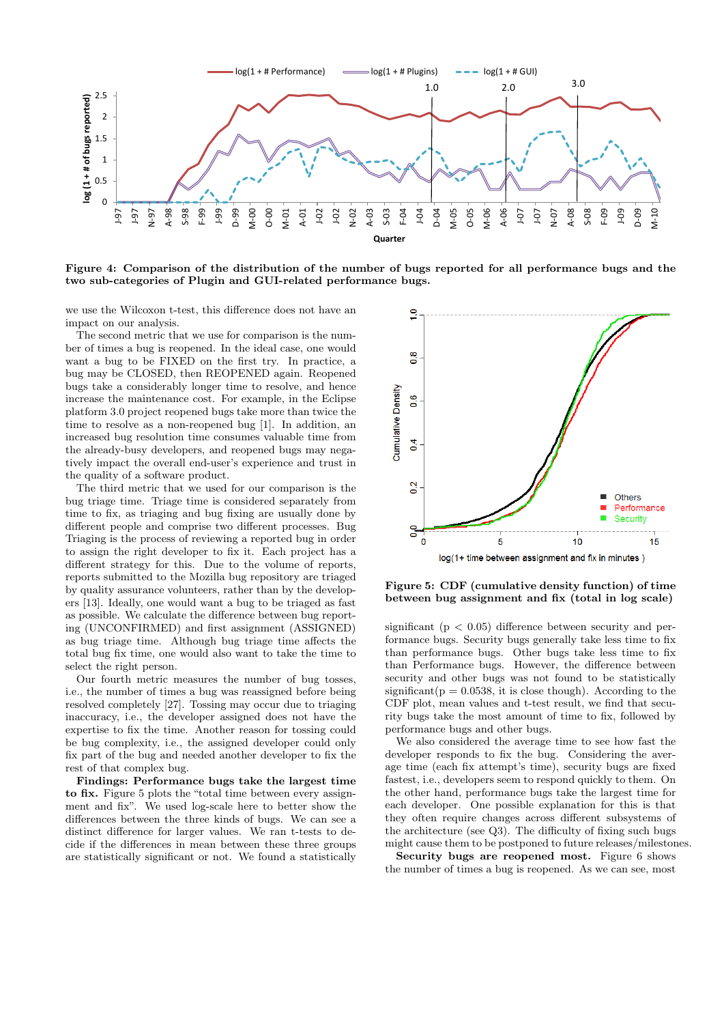

Figure 4: Comparison of the distribution of the number of bugs reported for all performance bugs and the two sub-categories of Plugin and GUI-related performance bugs.

we use the Wilcoxon t-test, this difference does not have an impact on our analysis.

The second metric that we use for comparison is the number of times a bug is reopened. In the ideal case, one would want a bug to be FIXED on the first try. In practice, a bug may be CLOSED, then REOPENED again. Reopened bugs take a considerably longer time to resolve, and hence increase the maintenance cost. For example, in the Eclipse platform 3.0 project reopened bugs take more than twice the time to resolve as a non-reopened bug [1]. In addition, an increased bug resolution time consumes valuable time from the already-busy developers, and reopened bugs may negatively impact the overall end-user's experience and trust in the quality of a software product.

The third metric that we used for our comparison is the bug triage time. Triage time is considered separately from time to fix, as triaging and bug fixing are usually done by different people and comprise two different processes. Bug Triaging is the process of reviewing a reported bug in order to assign the right developer to fix it. Each project has a different strategy for this. Due to the volume of reports, reports submitted to the Mozilla bug repository are triaged by quality assurance volunteers, rather than by the developers [13]. Ideally, one would want a bug to be triaged as fast as possible. We calculate the difference between bug reporting (UNCONFIRMED) and first assignment (ASSIGNED) as bug triage time. Although bug triage time affects the total bug fix time, one would also want to take the time to select the right person.

Our fourth metric measures the number of bug tosses, i.e., the number of times a bug was reassigned before being resolved completely [27]. Tossing may occur due to triaging inaccuracy, i.e., the developer assigned does not have the expertise to fix the time. Another reason for tossing could be bug complexity, i.e., the assigned developer could only fix part of the bug and needed another developer to fix the rest of that complex bug.

Findings: Performance bugs take the largest time to fix. Figure 5 plots the "total time between every assignment and fix". We used log-scale here to better show the differences between the three kinds of bugs. We can see a distinct difference for larger values. We ran t-tests to decide if the differences in mean between these three groups are statistically significant or not. We found a statistically



Figure 5: CDF (cumulative density function) of time between bug assignment and fix (total in log scale)

significant ( $p < 0.05$ ) difference between security and performance bugs. Security bugs generally take less time to fix than performance bugs. Other bugs take less time to fix than Performance bugs. However, the difference between security and other bugs was not found to be statistically significant( $p = 0.0538$ , it is close though). According to the CDF plot, mean values and t-test result, we find that security bugs take the most amount of time to fix, followed by performance bugs and other bugs.

We also considered the average time to see how fast the developer responds to fix the bug. Considering the average time (each fix attempt's time), security bugs are fixed fastest, i.e., developers seem to respond quickly to them. On the other hand, performance bugs take the largest time for each developer. One possible explanation for this is that they often require changes across different subsystems of the architecture (see Q3). The difficulty of fixing such bugs might cause them to be postponed to future releases/milestones.

Security bugs are reopened most. Figure 6 shows the number of times a bug is reopened. As we can see, most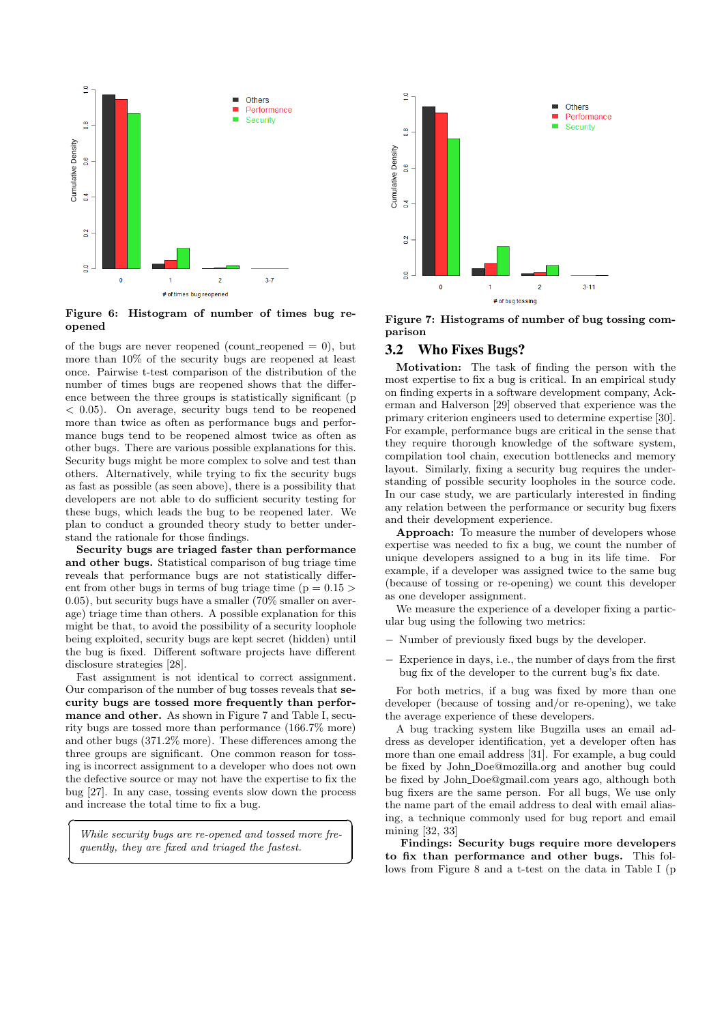

Figure 6: Histogram of number of times bug reopened

of the bugs are never reopened (count reopened  $= 0$ ), but more than 10% of the security bugs are reopened at least once. Pairwise t-test comparison of the distribution of the number of times bugs are reopened shows that the difference between the three groups is statistically significant (p  $< 0.05$ ). On average, security bugs tend to be reopened more than twice as often as performance bugs and performance bugs tend to be reopened almost twice as often as other bugs. There are various possible explanations for this. Security bugs might be more complex to solve and test than others. Alternatively, while trying to fix the security bugs as fast as possible (as seen above), there is a possibility that developers are not able to do sufficient security testing for these bugs, which leads the bug to be reopened later. We plan to conduct a grounded theory study to better understand the rationale for those findings.

Security bugs are triaged faster than performance and other bugs. Statistical comparison of bug triage time reveals that performance bugs are not statistically different from other bugs in terms of bug triage time ( $p = 0.15$ )  $(0.05)$ , but security bugs have a smaller  $(70\% \text{ smaller on aver-})$ age) triage time than others. A possible explanation for this might be that, to avoid the possibility of a security loophole being exploited, security bugs are kept secret (hidden) until the bug is fixed. Different software projects have different disclosure strategies [28].

Fast assignment is not identical to correct assignment. Our comparison of the number of bug tosses reveals that security bugs are tossed more frequently than performance and other. As shown in Figure 7 and Table I, security bugs are tossed more than performance (166.7% more) and other bugs (371.2% more). These differences among the three groups are significant. One common reason for tossing is incorrect assignment to a developer who does not own the defective source or may not have the expertise to fix the bug [27]. In any case, tossing events slow down the process and increase the total time to fix a bug.

While security bugs are re-opened and tossed more frequently, they are fixed and triaged the fastest.

☎

✆

 $\overline{a}$ 

✝



Figure 7: Histograms of number of bug tossing comparison

## 3.2 Who Fixes Bugs?

Motivation: The task of finding the person with the most expertise to fix a bug is critical. In an empirical study on finding experts in a software development company, Ackerman and Halverson [29] observed that experience was the primary criterion engineers used to determine expertise [30]. For example, performance bugs are critical in the sense that they require thorough knowledge of the software system, compilation tool chain, execution bottlenecks and memory layout. Similarly, fixing a security bug requires the understanding of possible security loopholes in the source code. In our case study, we are particularly interested in finding any relation between the performance or security bug fixers and their development experience.

Approach: To measure the number of developers whose expertise was needed to fix a bug, we count the number of unique developers assigned to a bug in its life time. For example, if a developer was assigned twice to the same bug (because of tossing or re-opening) we count this developer as one developer assignment.

We measure the experience of a developer fixing a particular bug using the following two metrics:

- − Number of previously fixed bugs by the developer.
- − Experience in days, i.e., the number of days from the first bug fix of the developer to the current bug's fix date.

For both metrics, if a bug was fixed by more than one developer (because of tossing and/or re-opening), we take the average experience of these developers.

A bug tracking system like Bugzilla uses an email address as developer identification, yet a developer often has more than one email address [31]. For example, a bug could be fixed by John Doe@mozilla.org and another bug could be fixed by John Doe@gmail.com years ago, although both bug fixers are the same person. For all bugs, We use only the name part of the email address to deal with email aliasing, a technique commonly used for bug report and email mining [32, 33]

Findings: Security bugs require more developers to fix than performance and other bugs. This follows from Figure 8 and a t-test on the data in Table I (p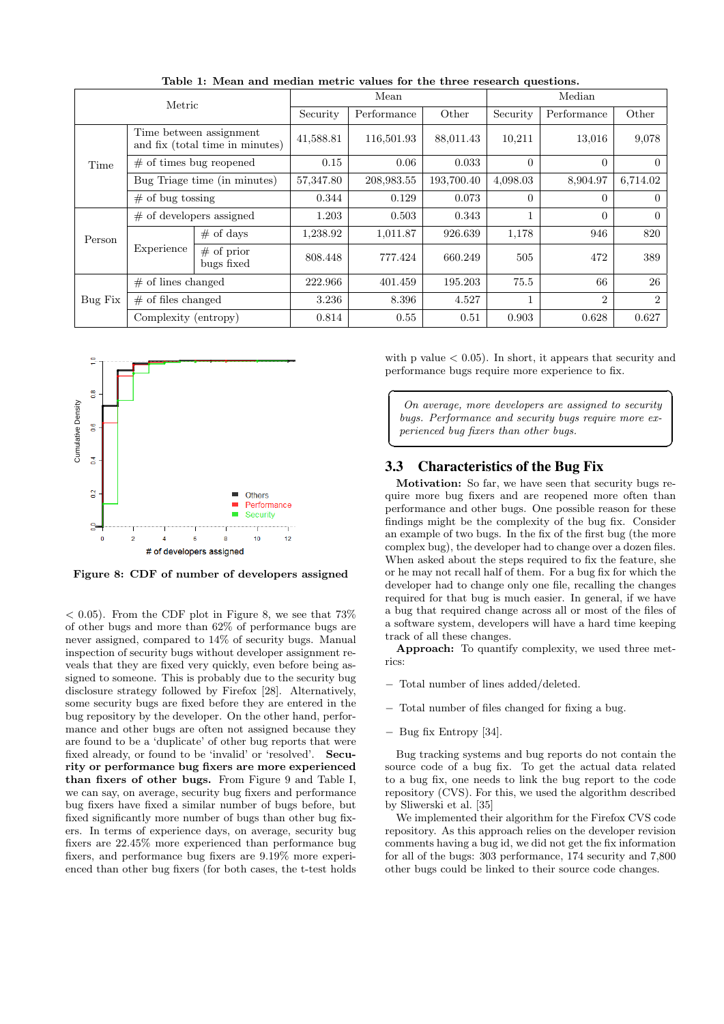| Metric  |                                                            |                            | Mean      |             |            | Median   |                |                |
|---------|------------------------------------------------------------|----------------------------|-----------|-------------|------------|----------|----------------|----------------|
|         |                                                            |                            | Security  | Performance | Other      | Security | Performance    | Other          |
| Time    | Time between assignment<br>and fix (total time in minutes) |                            | 41,588.81 | 116,501.93  | 88,011.43  | 10,211   | 13,016         | 9,078          |
|         | $#$ of times bug reopened                                  |                            | 0.15      | 0.06        | 0.033      | $\Omega$ | $\Omega$       | $\Omega$       |
|         | Bug Triage time (in minutes)                               |                            | 57,347.80 | 208,983.55  | 193,700.40 | 4,098.03 | 8,904.97       | 6,714.02       |
|         | $#$ of bug tossing                                         |                            | 0.344     | 0.129       | 0.073      | $\Omega$ | $\Omega$       | $\Omega$       |
| Person  | $\#$ of developers assigned                                |                            | 1.203     | 0.503       | 0.343      |          | $\Omega$       | $\theta$       |
|         | Experience                                                 | $\#$ of days               | 1,238.92  | 1,011.87    | 926.639    | 1,178    | 946            | 820            |
|         |                                                            | $#$ of prior<br>bugs fixed | 808.448   | 777.424     | 660.249    | 505      | 472            | 389            |
| Bug Fix | $#$ of lines changed                                       |                            | 222.966   | 401.459     | 195.203    | 75.5     | 66             | 26             |
|         | $#$ of files changed                                       |                            | 3.236     | 8.396       | 4.527      |          | $\overline{2}$ | $\overline{2}$ |
|         | Complexity (entropy)                                       |                            | 0.814     | 0.55        | 0.51       | 0.903    | 0.628          | 0.627          |

 $\overline{a}$ 

✝

Table 1: Mean and median metric values for the three research questions.



Figure 8: CDF of number of developers assigned

 $< 0.05$ ). From the CDF plot in Figure 8, we see that  $73\%$ of other bugs and more than 62% of performance bugs are never assigned, compared to 14% of security bugs. Manual inspection of security bugs without developer assignment reveals that they are fixed very quickly, even before being assigned to someone. This is probably due to the security bug disclosure strategy followed by Firefox [28]. Alternatively, some security bugs are fixed before they are entered in the bug repository by the developer. On the other hand, performance and other bugs are often not assigned because they are found to be a 'duplicate' of other bug reports that were fixed already, or found to be 'invalid' or 'resolved'. Security or performance bug fixers are more experienced than fixers of other bugs. From Figure 9 and Table I, we can say, on average, security bug fixers and performance bug fixers have fixed a similar number of bugs before, but fixed significantly more number of bugs than other bug fixers. In terms of experience days, on average, security bug fixers are 22.45% more experienced than performance bug fixers, and performance bug fixers are 9.19% more experienced than other bug fixers (for both cases, the t-test holds

with p value  $< 0.05$ ). In short, it appears that security and performance bugs require more experience to fix.

☎

✆

On average, more developers are assigned to security bugs. Performance and security bugs require more experienced bug fixers than other bugs.

## 3.3 Characteristics of the Bug Fix

Motivation: So far, we have seen that security bugs require more bug fixers and are reopened more often than performance and other bugs. One possible reason for these findings might be the complexity of the bug fix. Consider an example of two bugs. In the fix of the first bug (the more complex bug), the developer had to change over a dozen files. When asked about the steps required to fix the feature, she or he may not recall half of them. For a bug fix for which the developer had to change only one file, recalling the changes required for that bug is much easier. In general, if we have a bug that required change across all or most of the files of a software system, developers will have a hard time keeping track of all these changes.

Approach: To quantify complexity, we used three metrics:

- − Total number of lines added/deleted.
- − Total number of files changed for fixing a bug.
- − Bug fix Entropy [34].

Bug tracking systems and bug reports do not contain the source code of a bug fix. To get the actual data related to a bug fix, one needs to link the bug report to the code repository (CVS). For this, we used the algorithm described by Sliwerski et al. [35]

We implemented their algorithm for the Firefox CVS code repository. As this approach relies on the developer revision comments having a bug id, we did not get the fix information for all of the bugs: 303 performance, 174 security and 7,800 other bugs could be linked to their source code changes.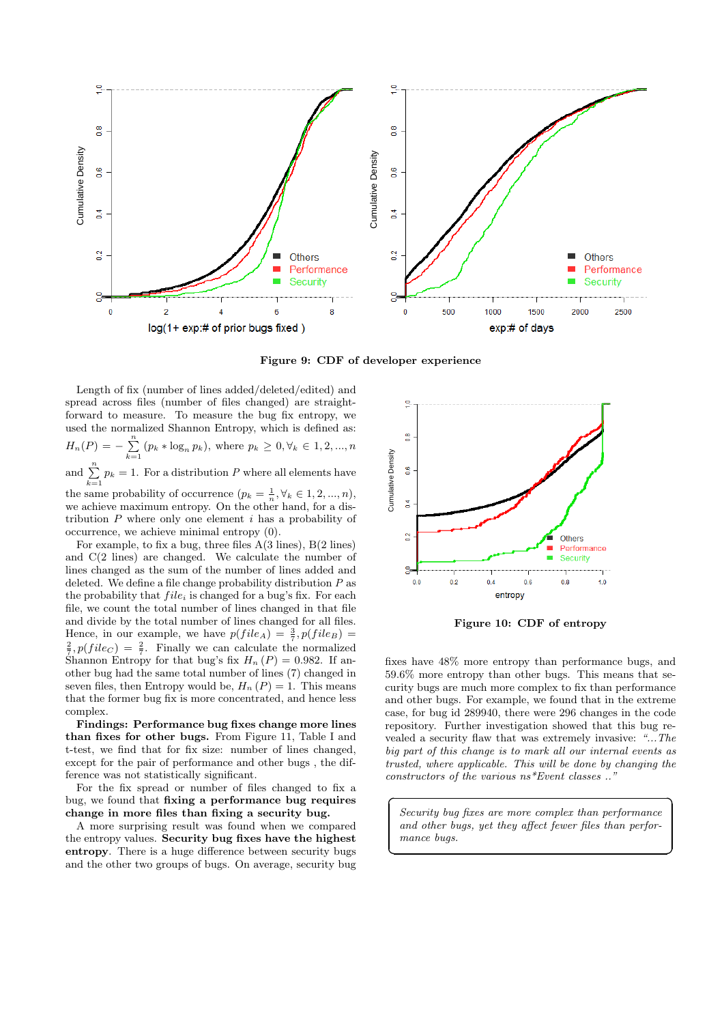

Figure 9: CDF of developer experience

 $\overline{C}$ 

✝

Length of fix (number of lines added/deleted/edited) and spread across files (number of files changed) are straightforward to measure. To measure the bug fix entropy, we used the normalized Shannon Entropy, which is defined as:

 $H_n(P) = -\sum_{k=1}^n (p_k * \log_n p_k), \text{ where } p_k \ge 0, \forall_k \in 1, 2, ..., n$ and  $\sum_{k=1}^{n} p_k = 1$ . For a distribution P where all elements have

the same probability of occurrence  $(p_k = \frac{1}{n}, \forall_k \in 1, 2, ..., n)$ , we achieve maximum entropy. On the other hand, for a distribution  $P$  where only one element  $i$  has a probability of occurrence, we achieve minimal entropy (0).

For example, to fix a bug, three files  $A(3 \text{ lines})$ ,  $B(2 \text{ lines})$ and C(2 lines) are changed. We calculate the number of lines changed as the sum of the number of lines added and deleted. We define a file change probability distribution P as the probability that  $file_i$  is changed for a bug's fix. For each file, we count the total number of lines changed in that file and divide by the total number of lines changed for all files. Hence, in our example, we have  $p(file_A) = \frac{3}{7}, p(file_B) =$  $\frac{2}{7}$ ,  $p(file_C) = \frac{2}{7}$ . Finally we can calculate the normalized Shannon Entropy for that bug's fix  $H_n(P) = 0.982$ . If another bug had the same total number of lines (7) changed in seven files, then Entropy would be,  $H_n(P) = 1$ . This means that the former bug fix is more concentrated, and hence less complex.

Findings: Performance bug fixes change more lines than fixes for other bugs. From Figure 11, Table I and t-test, we find that for fix size: number of lines changed, except for the pair of performance and other bugs , the difference was not statistically significant.

For the fix spread or number of files changed to fix a bug, we found that fixing a performance bug requires change in more files than fixing a security bug.

A more surprising result was found when we compared the entropy values. Security bug fixes have the highest entropy. There is a huge difference between security bugs and the other two groups of bugs. On average, security bug



Figure 10: CDF of entropy

fixes have 48% more entropy than performance bugs, and 59.6% more entropy than other bugs. This means that security bugs are much more complex to fix than performance and other bugs. For example, we found that in the extreme case, for bug id 289940, there were 296 changes in the code repository. Further investigation showed that this bug revealed a security flaw that was extremely invasive: "...The big part of this change is to mark all our internal events as trusted, where applicable. This will be done by changing the constructors of the various ns\*Event classes .."

Security bug fixes are more complex than performance and other bugs, yet they affect fewer files than performance bugs.

☎

✆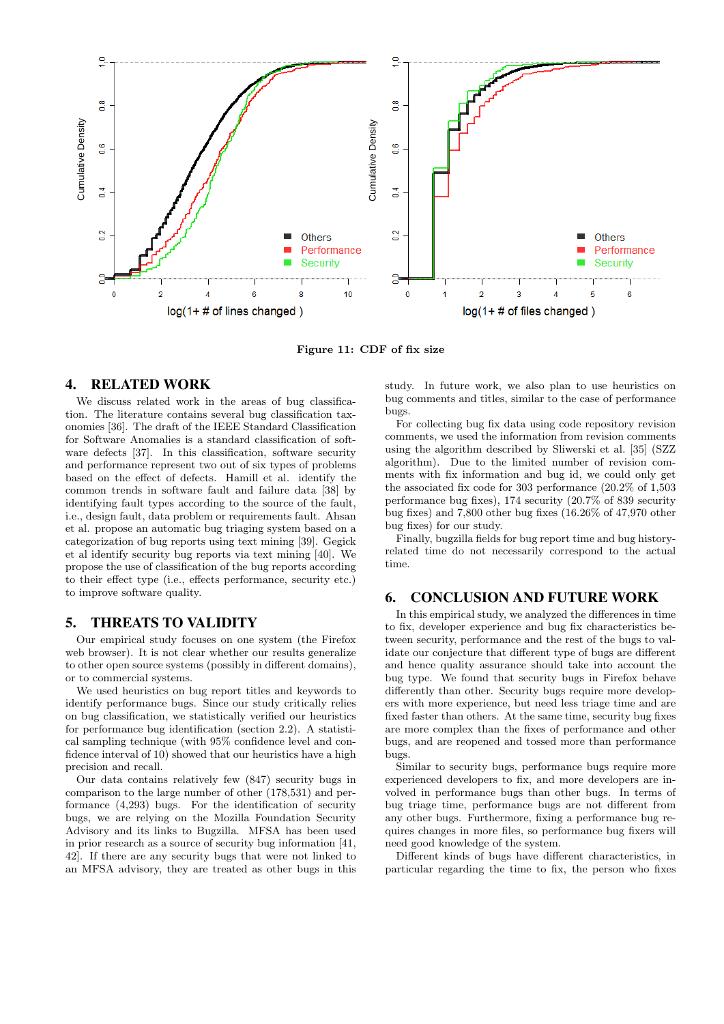

Figure 11: CDF of fix size

# 4. RELATED WORK

We discuss related work in the areas of bug classification. The literature contains several bug classification taxonomies [36]. The draft of the IEEE Standard Classification for Software Anomalies is a standard classification of software defects [37]. In this classification, software security and performance represent two out of six types of problems based on the effect of defects. Hamill et al. identify the common trends in software fault and failure data [38] by identifying fault types according to the source of the fault, i.e., design fault, data problem or requirements fault. Ahsan et al. propose an automatic bug triaging system based on a categorization of bug reports using text mining [39]. Gegick et al identify security bug reports via text mining [40]. We propose the use of classification of the bug reports according to their effect type (i.e., effects performance, security etc.) to improve software quality.

## 5. THREATS TO VALIDITY

Our empirical study focuses on one system (the Firefox web browser). It is not clear whether our results generalize to other open source systems (possibly in different domains), or to commercial systems.

We used heuristics on bug report titles and keywords to identify performance bugs. Since our study critically relies on bug classification, we statistically verified our heuristics for performance bug identification (section 2.2). A statistical sampling technique (with 95% confidence level and confidence interval of 10) showed that our heuristics have a high precision and recall.

Our data contains relatively few (847) security bugs in comparison to the large number of other (178,531) and performance (4,293) bugs. For the identification of security bugs, we are relying on the Mozilla Foundation Security Advisory and its links to Bugzilla. MFSA has been used in prior research as a source of security bug information [41, 42]. If there are any security bugs that were not linked to an MFSA advisory, they are treated as other bugs in this study. In future work, we also plan to use heuristics on bug comments and titles, similar to the case of performance bugs.

For collecting bug fix data using code repository revision comments, we used the information from revision comments using the algorithm described by Sliwerski et al. [35] (SZZ algorithm). Due to the limited number of revision comments with fix information and bug id, we could only get the associated fix code for 303 performance (20.2% of 1,503 performance bug fixes), 174 security (20.7% of 839 security bug fixes) and 7,800 other bug fixes (16.26% of 47,970 other bug fixes) for our study.

Finally, bugzilla fields for bug report time and bug historyrelated time do not necessarily correspond to the actual time.

## 6. CONCLUSION AND FUTURE WORK

In this empirical study, we analyzed the differences in time to fix, developer experience and bug fix characteristics between security, performance and the rest of the bugs to validate our conjecture that different type of bugs are different and hence quality assurance should take into account the bug type. We found that security bugs in Firefox behave differently than other. Security bugs require more developers with more experience, but need less triage time and are fixed faster than others. At the same time, security bug fixes are more complex than the fixes of performance and other bugs, and are reopened and tossed more than performance bugs.

Similar to security bugs, performance bugs require more experienced developers to fix, and more developers are involved in performance bugs than other bugs. In terms of bug triage time, performance bugs are not different from any other bugs. Furthermore, fixing a performance bug requires changes in more files, so performance bug fixers will need good knowledge of the system.

Different kinds of bugs have different characteristics, in particular regarding the time to fix, the person who fixes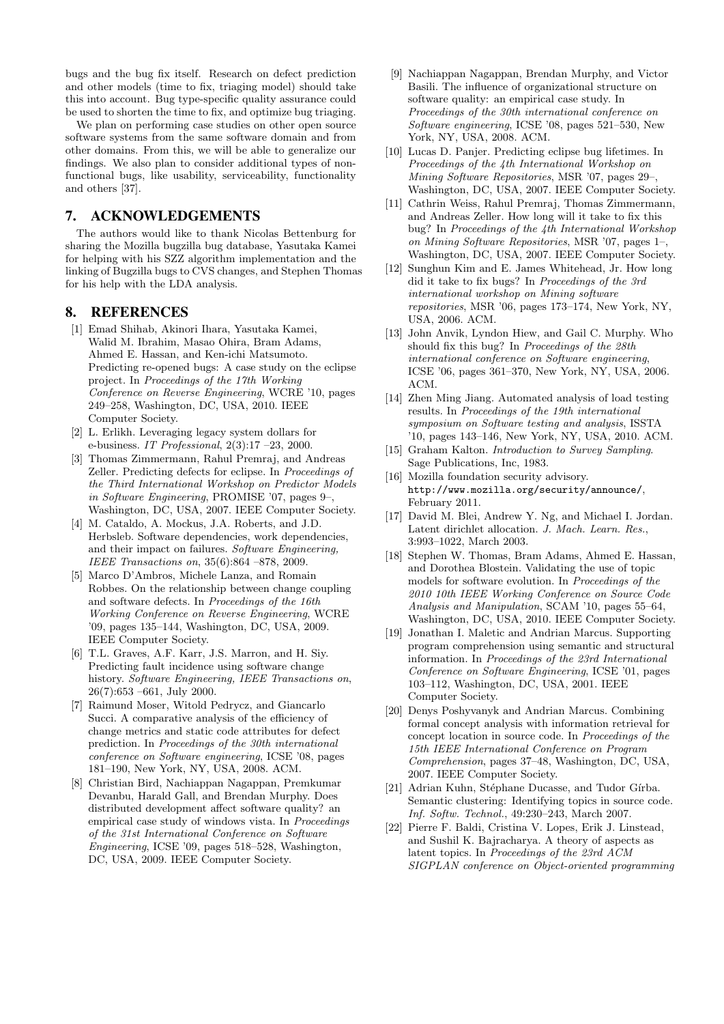bugs and the bug fix itself. Research on defect prediction and other models (time to fix, triaging model) should take this into account. Bug type-specific quality assurance could be used to shorten the time to fix, and optimize bug triaging.

We plan on performing case studies on other open source software systems from the same software domain and from other domains. From this, we will be able to generalize our findings. We also plan to consider additional types of nonfunctional bugs, like usability, serviceability, functionality and others [37].

#### 7. ACKNOWLEDGEMENTS

The authors would like to thank Nicolas Bettenburg for sharing the Mozilla bugzilla bug database, Yasutaka Kamei for helping with his SZZ algorithm implementation and the linking of Bugzilla bugs to CVS changes, and Stephen Thomas for his help with the LDA analysis.

#### 8. REFERENCES

- [1] Emad Shihab, Akinori Ihara, Yasutaka Kamei, Walid M. Ibrahim, Masao Ohira, Bram Adams, Ahmed E. Hassan, and Ken-ichi Matsumoto. Predicting re-opened bugs: A case study on the eclipse project. In Proceedings of the 17th Working Conference on Reverse Engineering, WCRE '10, pages 249–258, Washington, DC, USA, 2010. IEEE Computer Society.
- [2] L. Erlikh. Leveraging legacy system dollars for e-business. IT Professional, 2(3):17 –23, 2000.
- [3] Thomas Zimmermann, Rahul Premraj, and Andreas Zeller. Predicting defects for eclipse. In Proceedings of the Third International Workshop on Predictor Models in Software Engineering, PROMISE '07, pages 9–, Washington, DC, USA, 2007. IEEE Computer Society.
- [4] M. Cataldo, A. Mockus, J.A. Roberts, and J.D. Herbsleb. Software dependencies, work dependencies, and their impact on failures. Software Engineering, IEEE Transactions on, 35(6):864 –878, 2009.
- [5] Marco D'Ambros, Michele Lanza, and Romain Robbes. On the relationship between change coupling and software defects. In Proceedings of the 16th Working Conference on Reverse Engineering, WCRE '09, pages 135–144, Washington, DC, USA, 2009. IEEE Computer Society.
- [6] T.L. Graves, A.F. Karr, J.S. Marron, and H. Siy. Predicting fault incidence using software change history. Software Engineering, IEEE Transactions on, 26(7):653 –661, July 2000.
- [7] Raimund Moser, Witold Pedrycz, and Giancarlo Succi. A comparative analysis of the efficiency of change metrics and static code attributes for defect prediction. In Proceedings of the 30th international conference on Software engineering, ICSE '08, pages 181–190, New York, NY, USA, 2008. ACM.
- [8] Christian Bird, Nachiappan Nagappan, Premkumar Devanbu, Harald Gall, and Brendan Murphy. Does distributed development affect software quality? an empirical case study of windows vista. In Proceedings of the 31st International Conference on Software Engineering, ICSE '09, pages 518–528, Washington, DC, USA, 2009. IEEE Computer Society.
- [9] Nachiappan Nagappan, Brendan Murphy, and Victor Basili. The influence of organizational structure on software quality: an empirical case study. In Proceedings of the 30th international conference on Software engineering, ICSE '08, pages 521–530, New York, NY, USA, 2008. ACM.
- [10] Lucas D. Panjer. Predicting eclipse bug lifetimes. In Proceedings of the 4th International Workshop on Mining Software Repositories, MSR '07, pages 29–, Washington, DC, USA, 2007. IEEE Computer Society.
- [11] Cathrin Weiss, Rahul Premraj, Thomas Zimmermann, and Andreas Zeller. How long will it take to fix this bug? In Proceedings of the 4th International Workshop on Mining Software Repositories, MSR '07, pages 1–, Washington, DC, USA, 2007. IEEE Computer Society.
- [12] Sunghun Kim and E. James Whitehead, Jr. How long did it take to fix bugs? In Proceedings of the 3rd international workshop on Mining software repositories, MSR '06, pages 173–174, New York, NY, USA, 2006. ACM.
- [13] John Anvik, Lyndon Hiew, and Gail C. Murphy. Who should fix this bug? In Proceedings of the 28th international conference on Software engineering, ICSE '06, pages 361–370, New York, NY, USA, 2006. ACM.
- [14] Zhen Ming Jiang. Automated analysis of load testing results. In Proceedings of the 19th international symposium on Software testing and analysis, ISSTA '10, pages 143–146, New York, NY, USA, 2010. ACM.
- [15] Graham Kalton. Introduction to Survey Sampling. Sage Publications, Inc, 1983.
- [16] Mozilla foundation security advisory. http://www.mozilla.org/security/announce/, February 2011.
- [17] David M. Blei, Andrew Y. Ng, and Michael I. Jordan. Latent dirichlet allocation. J. Mach. Learn. Res., 3:993–1022, March 2003.
- [18] Stephen W. Thomas, Bram Adams, Ahmed E. Hassan, and Dorothea Blostein. Validating the use of topic models for software evolution. In Proceedings of the 2010 10th IEEE Working Conference on Source Code Analysis and Manipulation, SCAM '10, pages 55–64, Washington, DC, USA, 2010. IEEE Computer Society.
- [19] Jonathan I. Maletic and Andrian Marcus. Supporting program comprehension using semantic and structural information. In Proceedings of the 23rd International Conference on Software Engineering, ICSE '01, pages 103–112, Washington, DC, USA, 2001. IEEE Computer Society.
- [20] Denys Poshyvanyk and Andrian Marcus. Combining formal concept analysis with information retrieval for concept location in source code. In Proceedings of the 15th IEEE International Conference on Program Comprehension, pages 37–48, Washington, DC, USA, 2007. IEEE Computer Society.
- [21] Adrian Kuhn, Stéphane Ducasse, and Tudor Gírba. Semantic clustering: Identifying topics in source code. Inf. Softw. Technol., 49:230–243, March 2007.
- [22] Pierre F. Baldi, Cristina V. Lopes, Erik J. Linstead, and Sushil K. Bajracharya. A theory of aspects as latent topics. In Proceedings of the 23rd ACM SIGPLAN conference on Object-oriented programming